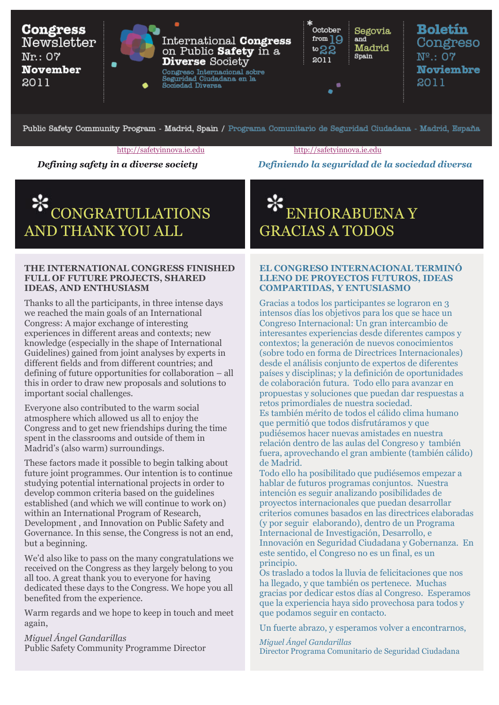

Public Safety Community Program - Madrid, Spain / Programa Comunitario de Seguridad Ciudadana - Madrid, España

#### [http://safetyinnova.ie.edu http://safetyinnova.ie.edu](http://safetyinnova.ie.edu/)

# *Defining safety in a diverse society Definiendo la seguridad de la sociedad diversa*

# CONGRATULLATIONS AND THANK YOU ALL

#### **THE INTERNATIONAL CONGRESS FINISHED FULL OF FUTURE PROJECTS, SHARED IDEAS, AND ENTHUSIASM**

Thanks to all the participants, in three intense days we reached the main goals of an International Congress: A major exchange of interesting experiences in different areas and contexts; new knowledge (especially in the shape of International Guidelines) gained from joint analyses by experts in different fields and from different countries; and defining of future opportunities for collaboration – all this in order to draw new proposals and solutions to important social challenges.

Everyone also contributed to the warm social atmosphere which allowed us all to enjoy the Congress and to get new friendships during the time spent in the classrooms and outside of them in Madrid's (also warm) surroundings.

These factors made it possible to begin talking about future joint programmes. Our intention is to continue studying potential international projects in order to develop common criteria based on the guidelines established (and which we will continue to work on) within an International Program of Research, Development , and Innovation on Public Safety and Governance. In this sense, the Congress is not an end, but a beginning.

We'd also like to pass on the many congratulations we received on the Congress as they largely belong to you all too. A great thank you to everyone for having dedicated these days to the Congress. We hope you all benefited from the experience.

Warm regards and we hope to keep in touch and meet again,

*Miguel Ángel Gandarillas*  Public Safety Community Programme Director

ENHORABUENA Y GRACIAS A TODOS

#### **EL CONGRESO INTERNACIONAL TERMINÓ LLENO DE PROYECTOS FUTUROS, IDEAS COMPARTIDAS, Y ENTUSIASMO**

Gracias a todos los participantes se lograron en 3 intensos días los objetivos para los que se hace un Congreso Internacional: Un gran intercambio de interesantes experiencias desde diferentes campos y contextos; la generación de nuevos conocimientos (sobre todo en forma de Directrices Internacionales) desde el análisis conjunto de expertos de diferentes países y disciplinas; y la definición de oportunidades de colaboración futura. Todo ello para avanzar en propuestas y soluciones que puedan dar respuestas a retos primordiales de nuestra sociedad. Es también mérito de todos el cálido clima humano que permitió que todos disfrutáramos y que pudiésemos hacer nuevas amistades en nuestra relación dentro de las aulas del Congreso y también fuera, aprovechando el gran ambiente (también cálido) de Madrid.

Todo ello ha posibilitado que pudiésemos empezar a hablar de futuros programas conjuntos. Nuestra intención es seguir analizando posibilidades de proyectos internacionales que puedan desarrollar criterios comunes basados en las directrices elaboradas (y por seguir elaborando), dentro de un Programa Internacional de Investigación, Desarrollo, e Innovación en Seguridad Ciudadana y Gobernanza. En este sentido, el Congreso no es un final, es un principio.

Os traslado a todos la lluvia de felicitaciones que nos ha llegado, y que también os pertenece. Muchas gracias por dedicar estos días al Congreso. Esperamos que la experiencia haya sido provechosa para todos y que podamos seguir en contacto.

Un fuerte abrazo, y esperamos volver a encontrarnos,

*Miguel Ángel Gandarillas* Director Programa Comunitario de Seguridad Ciudadana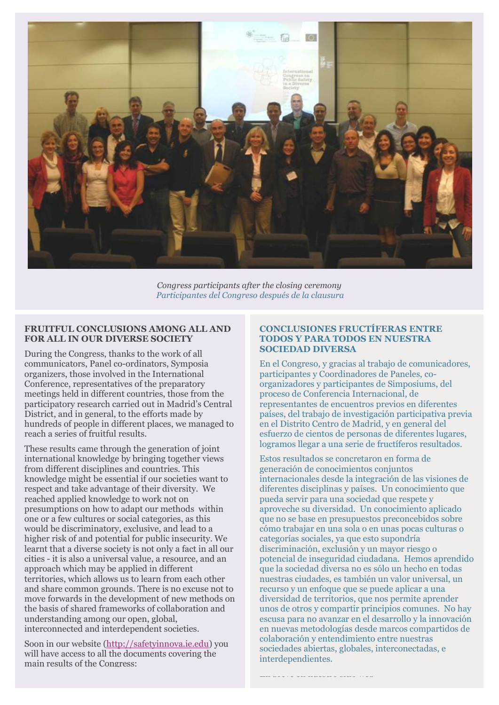

*Congress participants after the closing ceremony Participantes del Congreso después de la clausura*

## **FRUITFUL CONCLUSIONS AMONG ALL AND FOR ALL IN OUR DIVERSE SOCIETY**

During the Congress, thanks to the work of all communicators, Panel co-ordinators, Symposia organizers, those involved in the International Conference, representatives of the preparatory meetings held in different countries, those from the participatory research carried out in Madrid's Central District, and in general, to the efforts made by hundreds of people in different places, we managed to reach a series of fruitful results.

These results came through the generation of joint international knowledge by bringing together views from different disciplines and countries. This knowledge might be essential if our societies want to respect and take advantage of their diversity. We reached applied knowledge to work not on presumptions on how to adapt our methods within one or a few cultures or social categories, as this would be discriminatory, exclusive, and lead to a higher risk of and potential for public insecurity. We learnt that a diverse society is not only a fact in all our cities - it is also a universal value, a resource, and an approach which may be applied in different territories, which allows us to learn from each other and share common grounds. There is no excuse not to move forwards in the development of new methods on the basis of shared frameworks of collaboration and understanding among our open, global, interconnected and interdependent societies.

Soon in our website [\(http://safetyinnova.ie.edu\)](http://safetyinnova.ie.edu/) you will have access to all the documents covering the main results of the Congress:

#### **CONCLUSIONES FRUCTÍFERAS ENTRE TODOS Y PARA TODOS EN NUESTRA SOCIEDAD DIVERSA**

En el Congreso, y gracias al trabajo de comunicadores, participantes y Coordinadores de Paneles, coorganizadores y participantes de Simposiums, del proceso de Conferencia Internacional, de representantes de encuentros previos en diferentes países, del trabajo de investigación participativa previa en el Distrito Centro de Madrid, y en general del esfuerzo de cientos de personas de diferentes lugares, logramos llegar a una serie de fructíferos resultados.

Estos resultados se concretaron en forma de generación de conocimientos conjuntos internacionales desde la integración de las visiones de diferentes disciplinas y países. Un conocimiento que pueda servir para una sociedad que respete y aproveche su diversidad. Un conocimiento aplicado que no se base en presupuestos preconcebidos sobre cómo trabajar en una sola o en unas pocas culturas o categorías sociales, ya que esto supondría discriminación, exclusión y un mayor riesgo o potencial de inseguridad ciudadana. Hemos aprendido que la sociedad diversa no es sólo un hecho en todas nuestras ciudades, es también un valor universal, un recurso y un enfoque que se puede aplicar a una diversidad de territorios, que nos permite aprender unos de otros y compartir principios comunes. No hay escusa para no avanzar en el desarrollo y la innovación en nuevas metodologías desde marcos compartidos de colaboración y entendimiento entre nuestras sociedades abiertas, globales, interconectadas, e interdependientes.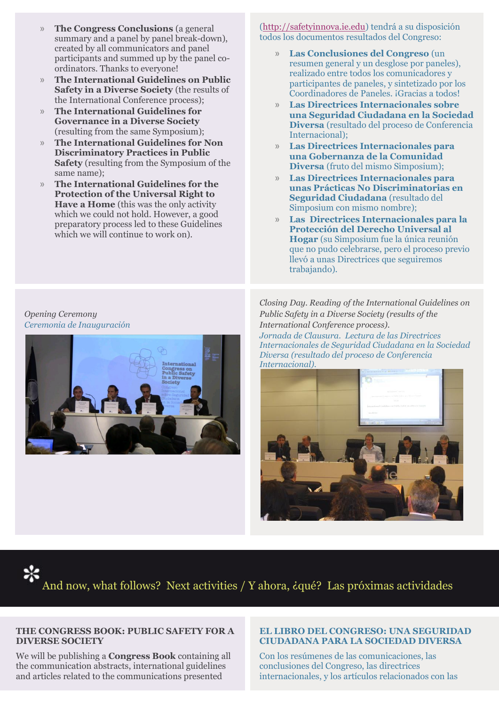- » **The Congress Conclusions** (a general summary and a panel by panel break-down), created by all communicators and panel participants and summed up by the panel coordinators. Thanks to everyone!
- » **The International Guidelines on Public Safety in a Diverse Society (the results of** the International Conference process);
- » **The International Guidelines for Governance in a Diverse Society**  (resulting from the same Symposium);
- » **The International Guidelines for Non Discriminatory Practices in Public Safety** (resulting from the Symposium of the same name);
- » **The International Guidelines for the Protection of the Universal Right to Have a Home** (this was the only activity) which we could not hold. However, a good preparatory process led to these Guidelines which we will continue to work on).

[\(http://safetyinnova.ie.edu\)](http://safetyinnova.ie.edu/) tendrá a su disposición todos los documentos resultados del Congreso:

- » **Las Conclusiones del Congreso** (un resumen general y un desglose por paneles), realizado entre todos los comunicadores y participantes de paneles, y sintetizado por los Coordinadores de Paneles. ¡Gracias a todos!
- » **Las Directrices Internacionales sobre una Seguridad Ciudadana en la Sociedad Diversa** (resultado del proceso de Conferencia Internacional);
- » **Las Directrices Internacionales para una Gobernanza de la Comunidad Diversa** (fruto del mismo Simposium);
- » **Las Directrices Internacionales para unas Prácticas No Discriminatorias en Seguridad Ciudadana** (resultado del Simposium con mismo nombre);
- » **Las Directrices Internacionales para la Protección del Derecho Universal al Hogar** (su Simposium fue la única reunión que no pudo celebrarse, pero el proceso previo llevó a unas Directrices que seguiremos trabajando).

*Opening Ceremony Ceremonia de Inauguración*



*Closing Day. Reading of the International Guidelines on Public Safety in a Diverse Society (results of the International Conference process).* 

*Jornada de Clausura. Lectura de las Directrices Internacionales de Seguridad Ciudadana en la Sociedad Diversa (resultado del proceso de Conferencia Internacional).*



And now, what follows? Next activities / Y ahora, ¿qué? Las próximas actividades

# **THE CONGRESS BOOK: PUBLIC SAFETY FOR A DIVERSE SOCIETY**

We will be publishing a **Congress Book** containing all the communication abstracts, international guidelines and articles related to the communications presented

## **EL LIBRO DEL CONGRESO: UNA SEGURIDAD CIUDADANA PARA LA SOCIEDAD DIVERSA**

Con los resúmenes de las comunicaciones, las conclusiones del Congreso, las directrices internacionales, y los artículos relacionados con las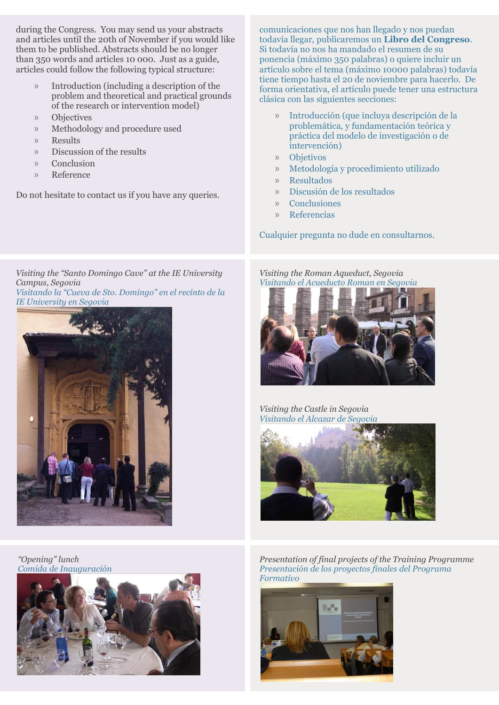during the Congress. You may send us your abstracts and articles until the 20th of November if you would like them to be published. Abstracts should be no longer than 350 words and articles 10 000. Just as a guide, articles could follow the following typical structure:

- » Introduction (including a description of the problem and theoretical and practical grounds of the research or intervention model)
- » Objectives
- » Methodology and procedure used
- » Results
- » Discussion of the results
- » Conclusion
- » Reference

Do not hesitate to contact us if you have any queries.

comunicaciones que nos han llegado y nos puedan todavía llegar, publicaremos un **Libro del Congreso**. Si todavía no nos ha mandado el resumen de su ponencia (máximo 350 palabras) o quiere incluir un artículo sobre el tema (máximo 10000 palabras) todavía tiene tiempo hasta el 20 de noviembre para hacerlo. De forma orientativa, el artículo puede tener una estructura clásica con las siguientes secciones:

- » Introducción (que incluya descripción de la problemática, y fundamentación teórica y práctica del modelo de investigación o de intervención)
- » Objetivos
- » Metodología y procedimiento utilizado
- » Resultados
- » Discusión de los resultados
- » Conclusiones
- » Referencias

Cualquier pregunta no dude en consultarnos.

*Visiting the "Santo Domingo Cave" at the IE University Campus, Segovia Visitando la "Cueva de Sto. Domingo" en el recinto de la IE University en Segovia*



*"Opening" lunch Comida de Inauguración*



*Visiting the Roman Aqueduct, Segovia Visitando el Acueducto Roman en Segovia*



*Visiting the Castle in Segovia Visitando el Alcazar de Segovia*



*Presentation of final projects of the Training Programme Presentación de los proyectos finales del Programa Formativo*

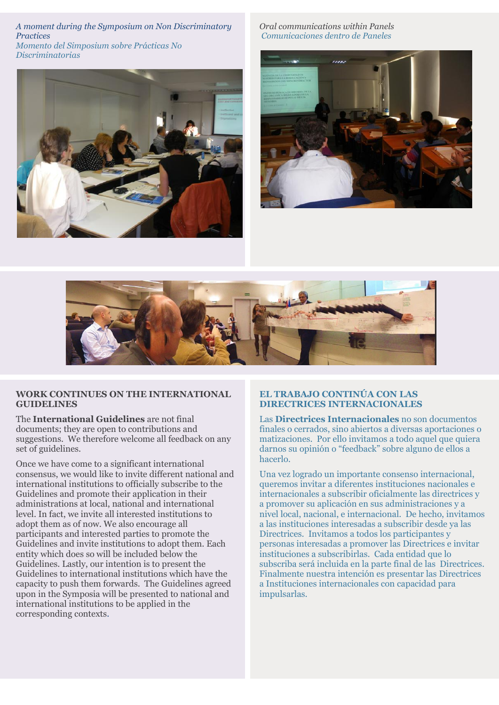*A moment during the Symposium on Non Discriminatory Practices Momento del Simposium sobre Prácticas No Discriminatorias*



*Oral communications within Panels Comunicaciones dentro de Paneles*





## **WORK CONTINUES ON THE INTERNATIONAL GUIDELINES**

The **International Guidelines** are not final documents; they are open to contributions and suggestions. We therefore welcome all feedback on any set of guidelines.

Once we have come to a significant international consensus, we would like to invite different national and international institutions to officially subscribe to the Guidelines and promote their application in their administrations at local, national and international level. In fact, we invite all interested institutions to adopt them as of now. We also encourage all participants and interested parties to promote the Guidelines and invite institutions to adopt them. Each entity which does so will be included below the Guidelines. Lastly, our intention is to present the Guidelines to international institutions which have the capacity to push them forwards. The Guidelines agreed upon in the Symposia will be presented to national and international institutions to be applied in the corresponding contexts.

# **EL TRABAJO CONTINÚA CON LAS DIRECTRICES INTERNACIONALES**

Las **Directrices Internacionales** no son documentos finales o cerrados, sino abiertos a diversas aportaciones o matizaciones. Por ello invitamos a todo aquel que quiera darnos su opinión o "feedback" sobre alguno de ellos a hacerlo.

Una vez logrado un importante consenso internacional, queremos invitar a diferentes instituciones nacionales e internacionales a subscribir oficialmente las directrices y a promover su aplicación en sus administraciones y a nivel local, nacional, e internacional. De hecho, invitamos a las instituciones interesadas a subscribir desde ya las Directrices. Invitamos a todos los participantes y personas interesadas a promover las Directrices e invitar instituciones a subscribirlas. Cada entidad que lo subscriba será incluida en la parte final de las Directrices. Finalmente nuestra intención es presentar las Directrices a Instituciones internacionales con capacidad para impulsarlas.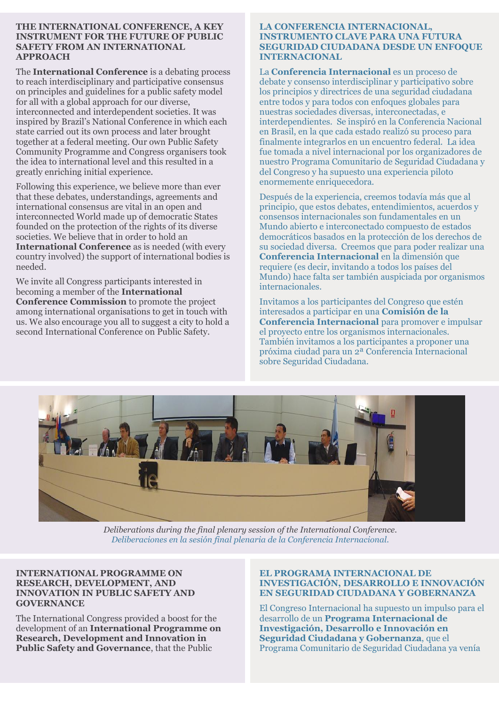#### **THE INTERNATIONAL CONFERENCE, A KEY INSTRUMENT FOR THE FUTURE OF PUBLIC SAFETY FROM AN INTERNATIONAL APPROACH**

The **International Conference** is a debating process to reach interdisciplinary and participative consensus on principles and guidelines for a public safety model for all with a global approach for our diverse, interconnected and interdependent societies. It was inspired by Brazil's National Conference in which each state carried out its own process and later brought together at a federal meeting. Our own Public Safety Community Programme and Congress organisers took the idea to international level and this resulted in a greatly enriching initial experience.

Following this experience, we believe more than ever that these debates, understandings, agreements and international consensus are vital in an open and interconnected World made up of democratic States founded on the protection of the rights of its diverse societies. We believe that in order to hold an **International Conference** as is needed (with every country involved) the support of international bodies is needed.

We invite all Congress participants interested in becoming a member of the **International Conference Commission** to promote the project among international organisations to get in touch with us. We also encourage you all to suggest a city to hold a second International Conference on Public Safety.

#### **LA CONFERENCIA INTERNACIONAL, INSTRUMENTO CLAVE PARA UNA FUTURA SEGURIDAD CIUDADANA DESDE UN ENFOQUE INTERNACIONAL**

La **Conferencia Internacional** es un proceso de debate y consenso interdisciplinar y participativo sobre los principios y directrices de una seguridad ciudadana entre todos y para todos con enfoques globales para nuestras sociedades diversas, interconectadas, e interdependientes. Se inspiró en la Conferencia Nacional en Brasil, en la que cada estado realizó su proceso para finalmente integrarlos en un encuentro federal. La idea fue tomada a nivel internacional por los organizadores de nuestro Programa Comunitario de Seguridad Ciudadana y del Congreso y ha supuesto una experiencia piloto enormemente enriquecedora.

Después de la experiencia, creemos todavía más que al principio, que estos debates, entendimientos, acuerdos y consensos internacionales son fundamentales en un Mundo abierto e interconectado compuesto de estados democráticos basados en la protección de los derechos de su sociedad diversa. Creemos que para poder realizar una **Conferencia Internacional** en la dimensión que requiere (es decir, invitando a todos los países del Mundo) hace falta ser también auspiciada por organismos internacionales.

Invitamos a los participantes del Congreso que estén interesados a participar en una **Comisión de la Conferencia Internacional** para promover e impulsar el proyecto entre los organismos internacionales. También invitamos a los participantes a proponer una próxima ciudad para un 2ª Conferencia Internacional sobre Seguridad Ciudadana.



*Deliberations during the final plenary session of the International Conference. Deliberaciones en la sesión final plenaria de la Conferencia Internacional.*

# **INTERNATIONAL PROGRAMME ON RESEARCH, DEVELOPMENT, AND INNOVATION IN PUBLIC SAFETY AND GOVERNANCE**

The International Congress provided a boost for the development of an **International Programme on Research, Development and Innovation in Public Safety and Governance**, that the Public

# **EL PROGRAMA INTERNACIONAL DE INVESTIGACIÓN, DESARROLLO E INNOVACIÓN EN SEGURIDAD CIUDADANA Y GOBERNANZA**

El Congreso Internacional ha supuesto un impulso para el desarrollo de un **Programa Internacional de Investigación, Desarrollo e Innovación en Seguridad Ciudadana y Gobernanza**, que el Programa Comunitario de Seguridad Ciudadana ya venía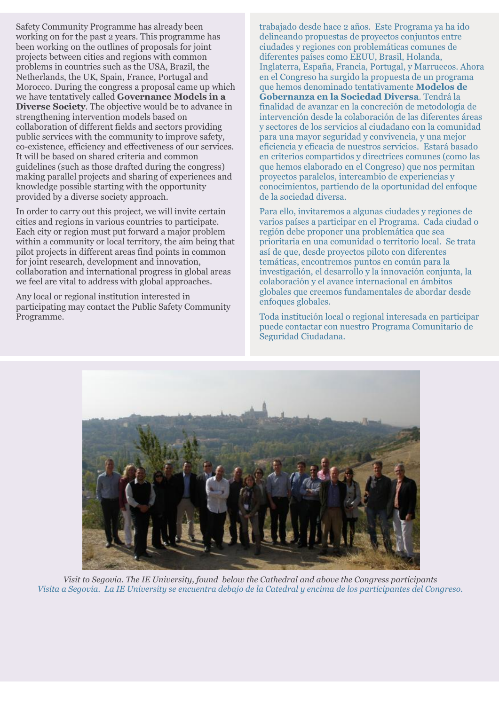Safety Community Programme has already been working on for the past 2 years. This programme has been working on the outlines of proposals for joint projects between cities and regions with common problems in countries such as the USA, Brazil, the Netherlands, the UK, Spain, France, Portugal and Morocco. During the congress a proposal came up which we have tentatively called **Governance Models in a Diverse Society**. The objective would be to advance in strengthening intervention models based on collaboration of different fields and sectors providing public services with the community to improve safety, co-existence, efficiency and effectiveness of our services. It will be based on shared criteria and common guidelines (such as those drafted during the congress) making parallel projects and sharing of experiences and knowledge possible starting with the opportunity provided by a diverse society approach.

In order to carry out this project, we will invite certain cities and regions in various countries to participate. Each city or region must put forward a major problem within a community or local territory, the aim being that pilot projects in different areas find points in common for joint research, development and innovation, collaboration and international progress in global areas we feel are vital to address with global approaches.

Any local or regional institution interested in participating may contact the Public Safety Community Programme.

trabajado desde hace 2 años. Este Programa ya ha ido delineando propuestas de proyectos conjuntos entre ciudades y regiones con problemáticas comunes de diferentes países como EEUU, Brasil, Holanda, Inglaterra, España, Francia, Portugal, y Marruecos. Ahora en el Congreso ha surgido la propuesta de un programa que hemos denominado tentativamente **Modelos de Gobernanza en la Sociedad Diversa**. Tendrá la finalidad de avanzar en la concreción de metodología de intervención desde la colaboración de las diferentes áreas y sectores de los servicios al ciudadano con la comunidad para una mayor seguridad y convivencia, y una mejor eficiencia y eficacia de nuestros servicios. Estará basado en criterios compartidos y directrices comunes (como las que hemos elaborado en el Congreso) que nos permitan proyectos paralelos, intercambio de experiencias y conocimientos, partiendo de la oportunidad del enfoque de la sociedad diversa.

Para ello, invitaremos a algunas ciudades y regiones de varios países a participar en el Programa. Cada ciudad o región debe proponer una problemática que sea prioritaria en una comunidad o territorio local. Se trata así de que, desde proyectos piloto con diferentes temáticas, encontremos puntos en común para la investigación, el desarrollo y la innovación conjunta, la colaboración y el avance internacional en ámbitos globales que creemos fundamentales de abordar desde enfoques globales.

Toda institución local o regional interesada en participar puede contactar con nuestro Programa Comunitario de Seguridad Ciudadana.



*Visit to Segovia. The IE University, found below the Cathedral and above the Congress participants Visita a Segovia. La IE University se encuentra debajo de la Catedral y encima de los participantes del Congreso.*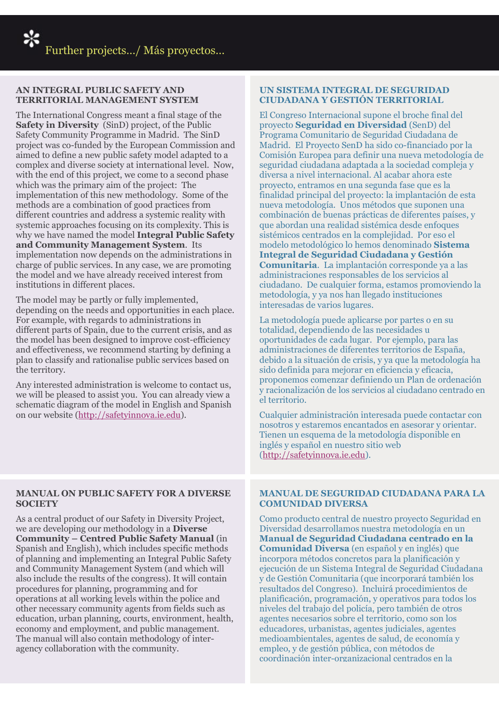# **AN INTEGRAL PUBLIC SAFETY AND TERRITORIAL MANAGEMENT SYSTEM**

The International Congress meant a final stage of the **Safety in Diversity** (SinD) project, of the Public Safety Community Programme in Madrid. The SinD project was co-funded by the European Commission and aimed to define a new public safety model adapted to a complex and diverse society at international level. Now, with the end of this project, we come to a second phase which was the primary aim of the project: The implementation of this new methodology. Some of the methods are a combination of good practices from different countries and address a systemic reality with systemic approaches focusing on its complexity. This is why we have named the model **Integral Public Safety and Community Management System**. Its implementation now depends on the administrations in charge of public services. In any case, we are promoting the model and we have already received interest from institutions in different places.

The model may be partly or fully implemented, depending on the needs and opportunities in each place. For example, with regards to administrations in different parts of Spain, due to the current crisis, and as the model has been designed to improve cost-efficiency and effectiveness, we recommend starting by defining a plan to classify and rationalise public services based on the territory.

Any interested administration is welcome to contact us, we will be pleased to assist you. You can already view a schematic diagram of the model in English and Spanish on our website [\(http://safetyinnova.ie.edu\)](http://safetyinnova.ie.edu/).

# **MANUAL ON PUBLIC SAFETY FOR A DIVERSE SOCIETY**

As a central product of our Safety in Diversity Project, we are developing our methodology in a **Diverse Community – Centred Public Safety Manual** (in Spanish and English), which includes specific methods of planning and implementing an Integral Public Safety and Community Management System (and which will also include the results of the congress). It will contain procedures for planning, programming and for operations at all working levels within the police and other necessary community agents from fields such as education, urban planning, courts, environment, health, economy and employment, and public management. The manual will also contain methodology of interagency collaboration with the community.

# **UN SISTEMA INTEGRAL DE SEGURIDAD CIUDADANA Y GESTIÓN TERRITORIAL**

El Congreso Internacional supone el broche final del proyecto **Seguridad en Diversidad** (SenD) del Programa Comunitario de Seguridad Ciudadana de Madrid. El Proyecto SenD ha sido co-financiado por la Comisión Europea para definir una nueva metodología de seguridad ciudadana adaptada a la sociedad compleja y diversa a nivel internacional. Al acabar ahora este proyecto, entramos en una segunda fase que es la finalidad principal del proyecto: la implantación de esta nueva metodología. Unos métodos que suponen una combinación de buenas prácticas de diferentes países, y que abordan una realidad sistémica desde enfoques sistémicos centrados en la complejidad. Por eso el modelo metodológico lo hemos denominado **Sistema Integral de Seguridad Ciudadana y Gestión Comunitaria**. La implantación corresponde ya a las administraciones responsables de los servicios al ciudadano. De cualquier forma, estamos promoviendo la metodología, y ya nos han llegado instituciones interesadas de varios lugares.

La metodología puede aplicarse por partes o en su totalidad, dependiendo de las necesidades u oportunidades de cada lugar. Por ejemplo, para las administraciones de diferentes territorios de España, debido a la situación de crisis, y ya que la metodología ha sido definida para mejorar en eficiencia y eficacia, proponemos comenzar definiendo un Plan de ordenación y racionalización de los servicios al ciudadano centrado en el territorio.

Cualquier administración interesada puede contactar con nosotros y estaremos encantados en asesorar y orientar. Tienen un esquema de la metodología disponible en inglés y español en nuestro sitio web [\(http://safetyinnova.ie.edu\)](http://safetyinnova.ie.edu/).

# **MANUAL DE SEGURIDAD CIUDADANA PARA LA COMUNIDAD DIVERSA**

Como producto central de nuestro proyecto Seguridad en Diversidad desarrollamos nuestra metodología en un **Manual de Seguridad Ciudadana centrado en la Comunidad Diversa** (en español y en inglés) que incorpora métodos concretos para la planificación y ejecución de un Sistema Integral de Seguridad Ciudadana y de Gestión Comunitaria (que incorporará también los resultados del Congreso). Incluirá procedimientos de planificación, programación, y operativos para todos los niveles del trabajo del policía, pero también de otros agentes necesarios sobre el territorio, como son los educadores, urbanistas, agentes judiciales, agentes medioambientales, agentes de salud, de economía y empleo, y de gestión pública, con métodos de coordinación inter-organizacional centrados en la